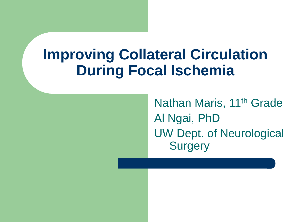## **Improving Collateral Circulation During Focal Ischemia**

Nathan Maris, 11<sup>th</sup> Grade Al Ngai, PhD UW Dept. of Neurological **Surgery**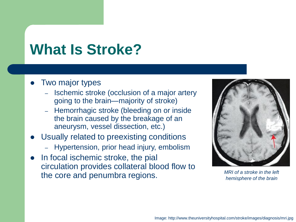## **What Is Stroke?**

- ⚫ Two major types
	- Ischemic stroke (occlusion of a major artery going to the brain—majority of stroke)
	- Hemorrhagic stroke (bleeding on or inside the brain caused by the breakage of an aneurysm, vessel dissection, etc.)
- ⚫ Usually related to preexisting conditions
	- Hypertension, prior head injury, embolism
- In focal ischemic stroke, the pial circulation provides collateral blood flow to the core and penumbra regions.



*MRI of a stroke in the left hemisphere of the brain*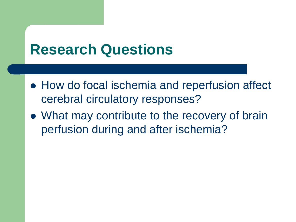### **Research Questions**

- How do focal ischemia and reperfusion affect cerebral circulatory responses?
- What may contribute to the recovery of brain perfusion during and after ischemia?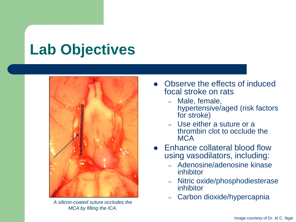# **Lab Objectives**



*A silicon-coated suture occludes the MCA by filling the ICA.*

- ⚫ Observe the effects of induced focal stroke on rats
	- Male, female, hypertensive/aged (risk factors for stroke)
	- Use either a suture or a thrombin clot to occlude the MCA
- ⚫ Enhance collateral blood flow using vasodilators, including:
	- Adenosine/adenosine kinase inhibitor
	- Nitric oxide/phosphodiesterase inhibitor
	- Carbon dioxide/hypercapnia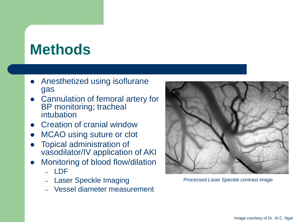# **Methods**

- ⚫ Anesthetized using isoflurane gas
- ⚫ Cannulation of femoral artery for BP monitoring; tracheal intubation
- ⚫ Creation of cranial window
- MCAO using suture or clot
- ⚫ Topical administration of vasodilator/IV application of AKI
- ⚫ Monitoring of blood flow/dilation
	- LDF
	- Laser Speckle Imaging
	- Vessel diameter measurement



*Processed Laser Speckle contrast image*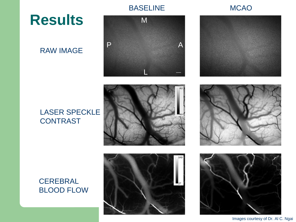**Results**

#### RAW IMAGE



#### BASELINE MCAO



#### LASER SPECKLE **CONTRAST**









Images courtesy of Dr. Al C. Ngai

#### **CEREBRAL** BLOOD FLOW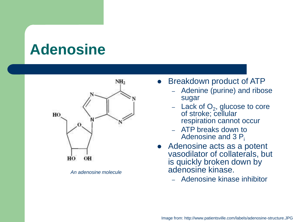### **Adenosine**



*An adenosine molecule*

- ⚫ Breakdown product of ATP
	- Adenine (purine) and ribose sugar
	- $-$  Lack of  $O_2$ , glucose to core of stroke; cellular respiration cannot occur
	- ATP breaks down to Adenosine and 3  $P_i$
- ⚫ Adenosine acts as a potent vasodilator of collaterals, but is quickly broken down by adenosine kinase.
	- Adenosine kinase inhibitor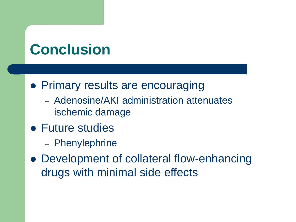# **Conclusion**

- ⚫ Primary results are encouraging
	- Adenosine/AKI administration attenuates ischemic damage
- ⚫ Future studies
	- Phenylephrine
- ⚫ Development of collateral flow-enhancing drugs with minimal side effects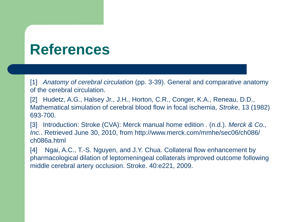### **References**

[1] *Anatomy of cerebral circulation* (pp. 3-39). General and comparative anatomy of the cerebral circulation.

[2] Hudetz, A.G., Halsey Jr., J.H., Horton, C.R., Conger, K.A., Reneau, D.D., Mathematical simulation of cerebral blood flow in focal ischemia, *Stroke*, 13 (1982) 693-700.

[3] Introduction: Stroke (CVA): Merck manual home edition . (n.d.). *Merck & Co., Inc.*. Retrieved June 30, 2010, from http://www.merck.com/mmhe/sec06/ch086/ ch086a.html

[4] Ngai, A.C., T.-S. Nguyen, and J.Y. Chua. Collateral flow enhancement by pharmacological dilation of leptomeningeal collaterals improved outcome following middle cerebral artery occlusion. Stroke. 40:e221, 2009.